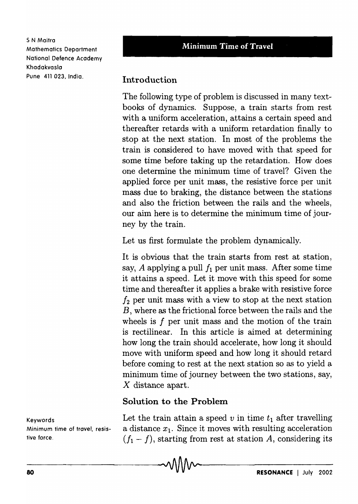5 N Maitra Mathematics Department National Defence Academy Khadakvasla Pune 411 023, India.

## Introduction

The following type of problem is discussed in many textbooks of dynamics. Suppose, a train starts from rest with a uniform acceleration, attains a certain speed and thereafter retards with a uniform retardation finally to stop at the next station. In most of the problems the train is considered to have moved with that speed for some time before taking up the retardation. How does one determine the minimum time of travel? Given the applied force per unit mass, the resistive force per unit mass due to braking, the distance between the stations and also the friction between the rails and the wheels, our aim here is to determine the minimum time of journey by the train.

Let us first formulate the problem dynamically.

It is obvious that the train starts from rest at station, say,  $A$  applying a pull  $f_1$  per unit mass. After some time it attains a speed. Let it move with this speed for some time and thereafter it applies a brake with resistive force  $f_2$  per unit mass with a view to stop at the next station B, where as the frictional force between the rails and the wheels is  $f$  per unit mass and the motion of the train is rectilinear. In this article is aimed at determining how long the train should accelerate, how long it should move with uniform speed and how long it should retard before coming to rest at the next station so as to yield a minimum time of journey between the two stations, say, X distance apart.

## Solution to the Problem

Keywords **Let the train attain a speed v** in time  $t_1$  after travelling Minimum time of travel, resis- a distance  $x_1$ . Since it moves with resulting acceleration tive force.  $(f_1 - f)$ , starting from rest at station A, considering its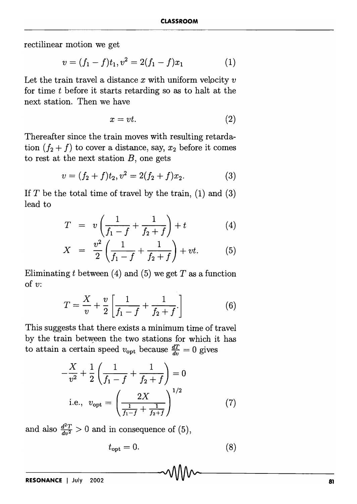rectilinear motion we get

$$
v = (f_1 - f)t_1, v^2 = 2(f_1 - f)x_1 \tag{1}
$$

Let the train travel a distance *x* with uniform velpcity *v*  for time t before it starts retarding so as to halt at the next station. Then we have

$$
x = vt.\t\t(2)
$$

Thereafter since the train moves with resulting retardation  $(f_2 + f)$  to cover a distance, say,  $x_2$  before it comes to rest at the next station *B,* one gets

$$
v = (f_2 + f)t_2, v^2 = 2(f_2 + f)x_2.
$$
 (3)

If  $T$  be the total time of travel by the train, (1) and (3) lead to

$$
T = v \left( \frac{1}{f_1 - f} + \frac{1}{f_2 + f} \right) + t \tag{4}
$$

$$
X = \frac{v^2}{2} \left( \frac{1}{f_1 - f} + \frac{1}{f_2 + f} \right) + vt. \tag{5}
$$

Eliminating  $t$  between (4) and (5) we get  $T$  as a function of  $v$ :

$$
T = \frac{X}{v} + \frac{v}{2} \left[ \frac{1}{f_1 - f} + \frac{1}{f_2 + f} \right]
$$
 (6)

This suggests that there exists a minimum time of travel by the train between the two stations for which it has to attain a certain speed  $v_{\text{opt}}$  because  $\frac{dT}{dv} = 0$  gives

$$
-\frac{X}{v^2} + \frac{1}{2} \left( \frac{1}{f_1 - f} + \frac{1}{f_2 + f} \right) = 0
$$
  
i.e.,  $v_{\text{opt}} = \left( \frac{2X}{\frac{1}{f_1 - f} + \frac{1}{f_2 + f}} \right)^{1/2}$  (7)

and also  $\frac{d^2T}{dv^2} > 0$  and in consequence of (5),

$$
t_{\rm opt} = 0.\t\t(8)
$$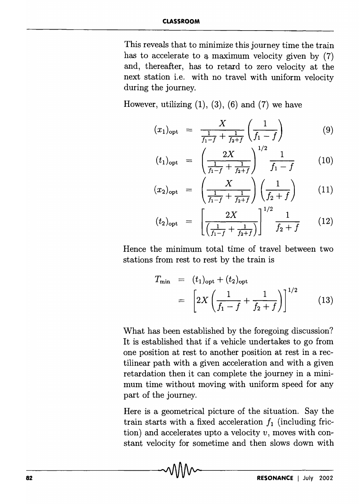## **CLASSROOM**

This reveals that to minimize this journey time the train has to accelerate to a maximum velocity given by (7) and, thereafter, has to retard to zero velocity at the next station i.e. with no travel with uniform velocity during the journey.

However, utilizing  $(1)$ ,  $(3)$ ,  $(6)$  and  $(7)$  we have

$$
(x_1)_{\text{opt}} = \frac{X}{\frac{1}{f_1 - f} + \frac{1}{f_2 + f}} \left( \frac{1}{f_1 - f} \right) \tag{9}
$$

$$
t_{1})_{\text{opt}} = \left(\frac{2X}{\frac{1}{f_1 - f} + \frac{1}{f_2 + f}}\right)^{1/2} \frac{1}{f_1 - f} \tag{10}
$$

$$
(x_2)_{\text{opt}} = \left(\frac{X}{\frac{1}{f_1 - f} + \frac{1}{f_2 + f}}\right) \left(\frac{1}{f_2 + f}\right) \tag{11}
$$

$$
(t_2)_{\text{opt}} = \left[ \frac{2X}{\left( \frac{1}{f_1 - f} + \frac{1}{f_2 + f} \right)} \right]^{1/2} \frac{1}{f_2 + f} \qquad (12)
$$

Hence the minimum total time of travel between two stations from rest to rest by the train is

$$
T_{\min} = (t_1)_{\text{opt}} + (t_2)_{\text{opt}}
$$
  
= 
$$
\left[ 2X \left( \frac{1}{f_1 - f} + \frac{1}{f_2 + f} \right) \right]^{1/2}
$$
 (13)

What has been established by the foregoing discussion? It is established that if a vehicle undertakes to go from one position at rest to another position at rest in a rectilinear path with a given acceleration and with a given retardation then it can complete the journey in a minimum time without moving with uniform speed for any part of the journey.

Here is a geometrical picture of the situation. Say the train starts with a fixed acceleration  $f_1$  (including friction) and accelerates upto a velocity *v,* moves with constant velocity for sometime and then slows down with